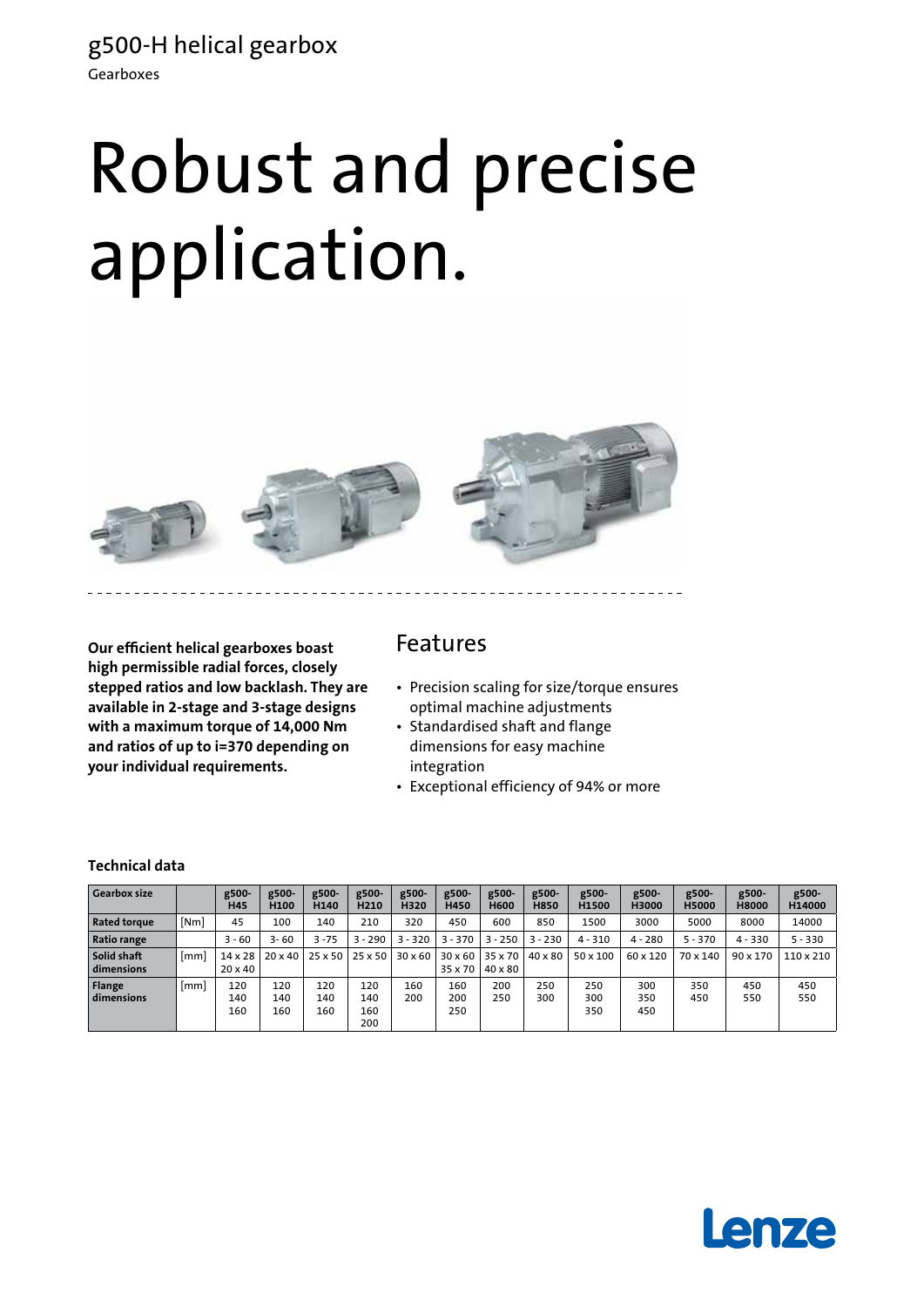g500-H helical gearbox Gearboxes

# Robust and precise application.



**Our efficient helical gearboxes boast high permissible radial forces, closely stepped ratios and low backlash. They are available in 2-stage and 3-stage designs with a maximum torque of 14,000 Nm and ratios of up to i=370 depending on your individual requirements.**

## Features

- Precision scaling for size/torque ensures optimal machine adjustments
- Standardised shaft and flange dimensions for easy machine integration
- • Exceptional efficiency of 94% or more

### **Technical data**

| <b>Gearbox size</b>         |                 | g500-<br><b>H45</b>              | g500-<br>H <sub>100</sub> | g500-<br>H140     | g500-<br>H <sub>210</sub> | g500-<br>H320  | g500-<br>H450      | g500-<br><b>H600</b> | g500-<br><b>H850</b> | g500-<br>H1500    | g500-<br>H3000    | g500-<br><b>H5000</b> | g500-<br><b>H8000</b> | g500-<br>H14000 |
|-----------------------------|-----------------|----------------------------------|---------------------------|-------------------|---------------------------|----------------|--------------------|----------------------|----------------------|-------------------|-------------------|-----------------------|-----------------------|-----------------|
| <b>Rated torque</b>         | [Nm]            | 45                               | 100                       | 140               | 210                       | 320            | 450                | 600                  | 850                  | 1500              | 3000              | 5000                  | 8000                  | 14000           |
| <b>Ratio range</b>          |                 | $3 - 60$                         | $3 - 60$                  | $3 - 75$          | $3 - 290$                 | $3 - 320$      | 3 - 370            | $3 - 250$            | $3 - 230$            | $4 - 310$         | $4 - 280$         | $5 - 370$             | $4 - 330$             | $5 - 330$       |
| Solid shaft<br>dimensions   | [mm]            | $14 \times 28$<br>$20 \times 40$ | $20 \times 40$            | $25 \times 50$    | 25 x 50                   | $30 \times 60$ | 30 x 60<br>35 x 70 | 35 x 70<br>40 x 80   | 40 x 80              | $50 \times 100$   | 60 x 120          | 70 x 140              | 90 x 170              | $110\times210$  |
| <b>Flange</b><br>dimensions | 1 <sub>mm</sub> | 120<br>140<br>160                | 120<br>140<br>160         | 120<br>140<br>160 | 120<br>140<br>160<br>200  | 160<br>200     | 160<br>200<br>250  | 200<br>250           | 250<br>300           | 250<br>300<br>350 | 300<br>350<br>450 | 350<br>450            | 450<br>550            | 450<br>550      |